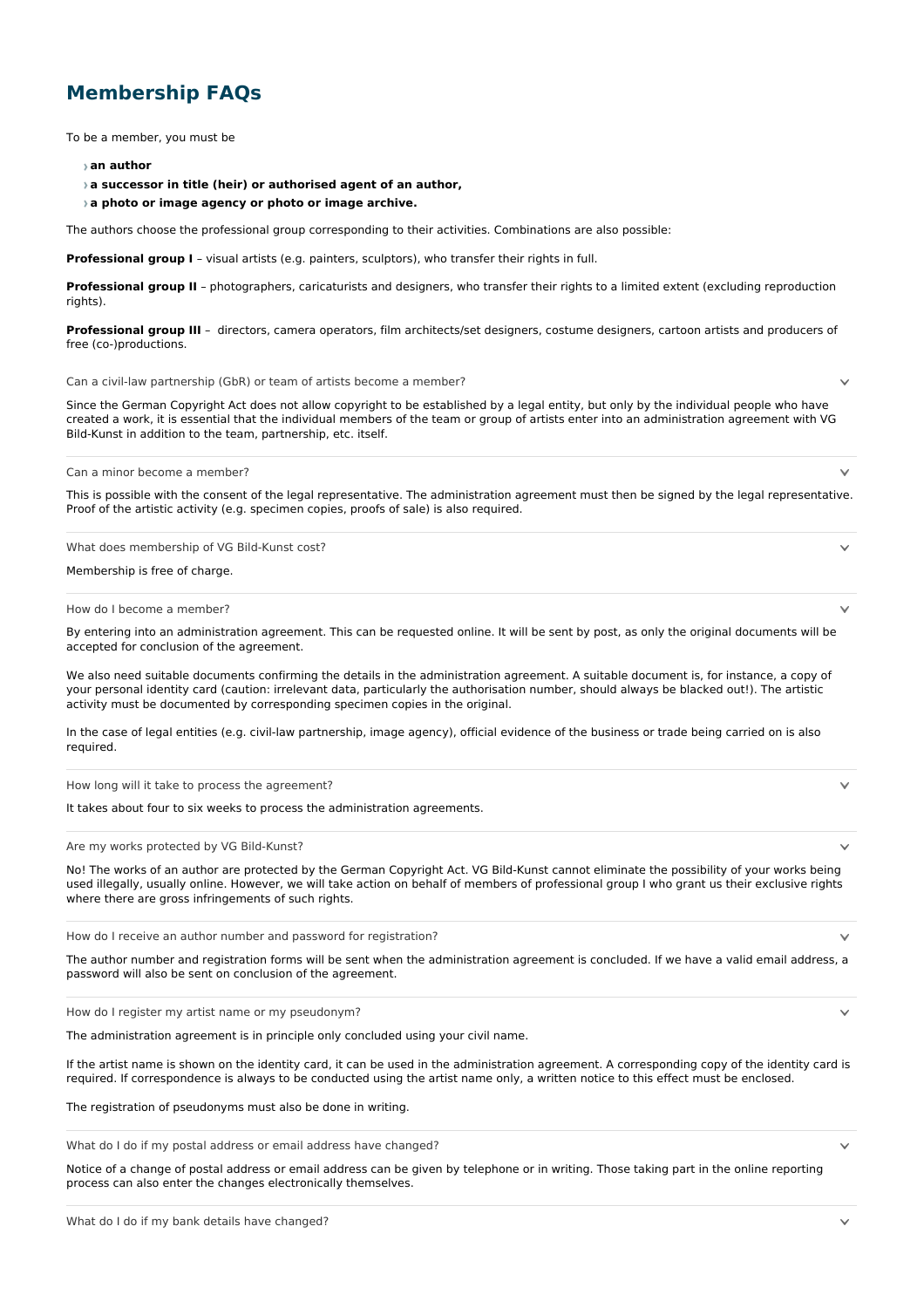## **Membership FAQs**

To be a member, you must be

## **an author**

**a successor in title (heir) or authorised agent of an author,**

**a photo or image agency or photo or image archive.**

The authors choose the professional group corresponding to their activities. Combinations are also possible:

**Professional group I** – visual artists (e.g. painters, sculptors), who transfer their rights in full.

**Professional group II** – photographers, caricaturists and designers, who transfer their rights to a limited extent (excluding reproduction rights).

**Professional group III** – directors, camera operators, film architects/set designers, costume designers, cartoon artists and producers of free (co-)productions.

Can a civil-law partnership (GbR) or team of artists become a member?

 $\sim$ 

Since the German Copyright Act does not allow copyright to be established by a legal entity, but only by the individual people who have created a work, it is essential that the individual members of the team or group of artists enter into an administration agreement with VG Bild-Kunst in addition to the team, partnership, etc. itself.

Can a minor become a member?

This is possible with the consent of the legal representative. The administration agreement must then be signed by the legal representative. Proof of the artistic activity (e.g. specimen copies, proofs of sale) is also required.

What does membership of VG Bild-Kunst cost?

Membership is free of charge.

How do I become a member?

By entering into an administration agreement. This can be requested online. It will be sent by post, as only the original documents will be accepted for conclusion of the agreement.

We also need suitable documents confirming the details in the administration agreement. A suitable document is, for instance, a copy of your personal identity card (caution: irrelevant data, particularly the authorisation number, should always be blacked out!). The artistic activity must be documented by corresponding specimen copies in the original.

In the case of legal entities (e.g. civil-law partnership, image agency), official evidence of the business or trade being carried on is also required.

How long will it take to process the agreement?

It takes about four to six weeks to process the administration agreements.

Are my works protected by VG Bild-Kunst?

No! The works of an author are protected by the German Copyright Act. VG Bild-Kunst cannot eliminate the possibility of your works being used illegally, usually online. However, we will take action on behalf of members of professional group I who grant us their exclusive rights where there are gross infringements of such rights.

How do I receive an author number and password for registration?

The author number and registration forms will be sent when the administration agreement is concluded. If we have a valid email address, a password will also be sent on conclusion of the agreement.

How do I register my artist name or my pseudonym?

The administration agreement is in principle only concluded using your civil name.

If the artist name is shown on the identity card, it can be used in the administration agreement. A corresponding copy of the identity card is required. If correspondence is always to be conducted using the artist name only, a written notice to this effect must be enclosed.

The registration of pseudonyms must also be done in writing.

What do I do if my postal address or email address have changed?

Notice of a change of postal address or email address can be given by telephone or in writing. Those taking part in the online reporting process can also enter the changes electronically themselves.

 $\ddot{\phantom{0}}$ 

 $\checkmark$